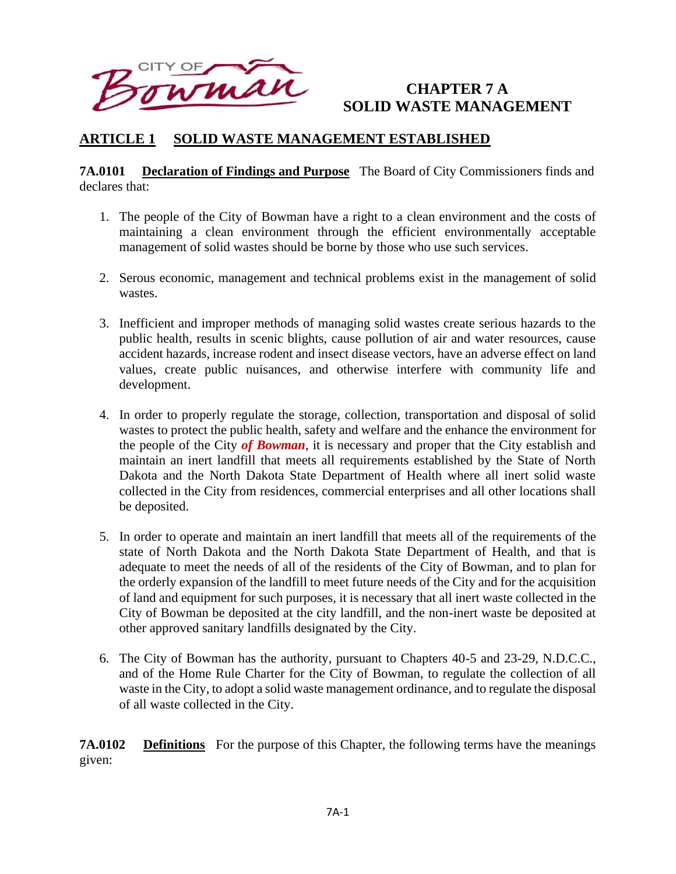

# **CHAPTER 7 A SOLID WASTE MANAGEMENT**

# **ARTICLE 1 SOLID WASTE MANAGEMENT ESTABLISHED**

#### **7A.0101 Declaration of Findings and Purpose** The Board of City Commissioners finds and declares that:

- 1. The people of the City of Bowman have a right to a clean environment and the costs of maintaining a clean environment through the efficient environmentally acceptable management of solid wastes should be borne by those who use such services.
- 2. Serous economic, management and technical problems exist in the management of solid wastes.
- 3. Inefficient and improper methods of managing solid wastes create serious hazards to the public health, results in scenic blights, cause pollution of air and water resources, cause accident hazards, increase rodent and insect disease vectors, have an adverse effect on land values, create public nuisances, and otherwise interfere with community life and development.
- 4. In order to properly regulate the storage, collection, transportation and disposal of solid wastes to protect the public health, safety and welfare and the enhance the environment for the people of the City *of Bowman*, it is necessary and proper that the City establish and maintain an inert landfill that meets all requirements established by the State of North Dakota and the North Dakota State Department of Health where all inert solid waste collected in the City from residences, commercial enterprises and all other locations shall be deposited.
- 5. In order to operate and maintain an inert landfill that meets all of the requirements of the state of North Dakota and the North Dakota State Department of Health, and that is adequate to meet the needs of all of the residents of the City of Bowman, and to plan for the orderly expansion of the landfill to meet future needs of the City and for the acquisition of land and equipment for such purposes, it is necessary that all inert waste collected in the City of Bowman be deposited at the city landfill, and the non-inert waste be deposited at other approved sanitary landfills designated by the City.
- 6. The City of Bowman has the authority, pursuant to Chapters 40-5 and 23-29, N.D.C.C., and of the Home Rule Charter for the City of Bowman, to regulate the collection of all waste in the City, to adopt a solid waste management ordinance, and to regulate the disposal of all waste collected in the City.

**7A.0102** Definitions For the purpose of this Chapter, the following terms have the meanings given: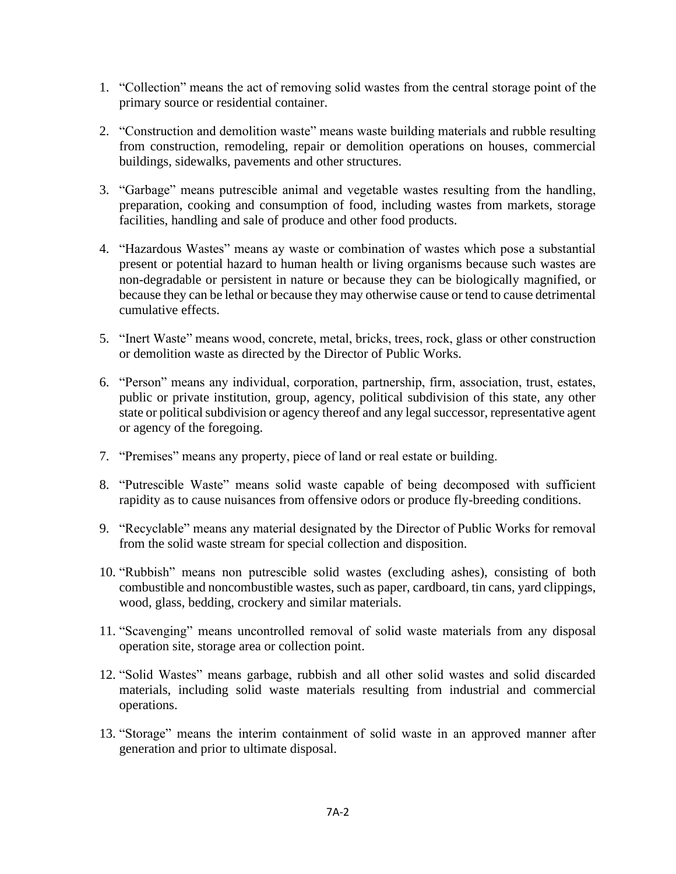- 1. "Collection" means the act of removing solid wastes from the central storage point of the primary source or residential container.
- 2. "Construction and demolition waste" means waste building materials and rubble resulting from construction, remodeling, repair or demolition operations on houses, commercial buildings, sidewalks, pavements and other structures.
- 3. "Garbage" means putrescible animal and vegetable wastes resulting from the handling, preparation, cooking and consumption of food, including wastes from markets, storage facilities, handling and sale of produce and other food products.
- 4. "Hazardous Wastes" means ay waste or combination of wastes which pose a substantial present or potential hazard to human health or living organisms because such wastes are non-degradable or persistent in nature or because they can be biologically magnified, or because they can be lethal or because they may otherwise cause or tend to cause detrimental cumulative effects.
- 5. "Inert Waste" means wood, concrete, metal, bricks, trees, rock, glass or other construction or demolition waste as directed by the Director of Public Works.
- 6. "Person" means any individual, corporation, partnership, firm, association, trust, estates, public or private institution, group, agency, political subdivision of this state, any other state or political subdivision or agency thereof and any legal successor, representative agent or agency of the foregoing.
- 7. "Premises" means any property, piece of land or real estate or building.
- 8. "Putrescible Waste" means solid waste capable of being decomposed with sufficient rapidity as to cause nuisances from offensive odors or produce fly-breeding conditions.
- 9. "Recyclable" means any material designated by the Director of Public Works for removal from the solid waste stream for special collection and disposition.
- 10. "Rubbish" means non putrescible solid wastes (excluding ashes), consisting of both combustible and noncombustible wastes, such as paper, cardboard, tin cans, yard clippings, wood, glass, bedding, crockery and similar materials.
- 11. "Scavenging" means uncontrolled removal of solid waste materials from any disposal operation site, storage area or collection point.
- 12. "Solid Wastes" means garbage, rubbish and all other solid wastes and solid discarded materials, including solid waste materials resulting from industrial and commercial operations.
- 13. "Storage" means the interim containment of solid waste in an approved manner after generation and prior to ultimate disposal.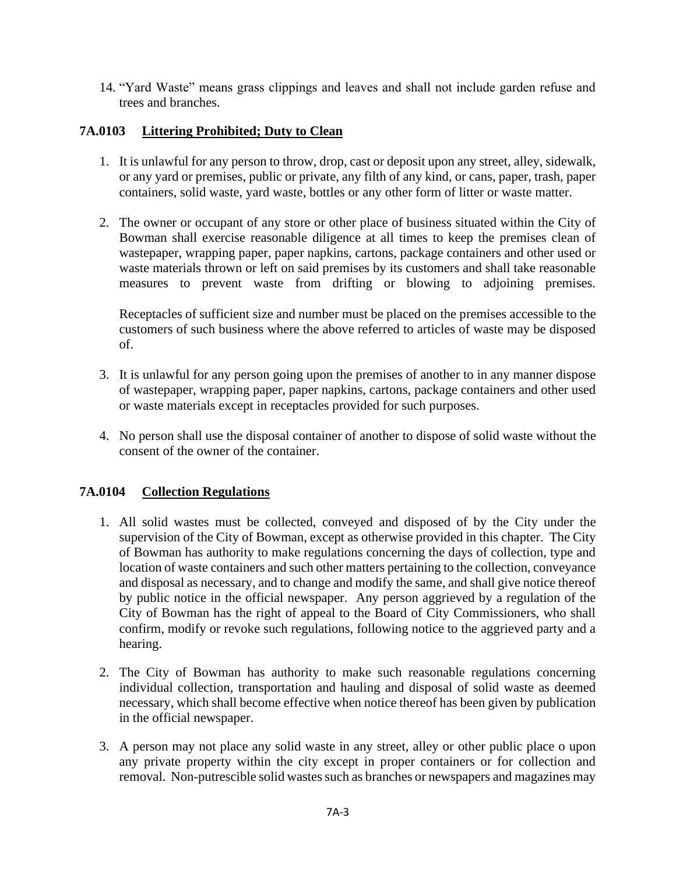14. "Yard Waste" means grass clippings and leaves and shall not include garden refuse and trees and branches.

## **7A.0103 Littering Prohibited; Duty to Clean**

- 1. It is unlawful for any person to throw, drop, cast or deposit upon any street, alley, sidewalk, or any yard or premises, public or private, any filth of any kind, or cans, paper, trash, paper containers, solid waste, yard waste, bottles or any other form of litter or waste matter.
- 2. The owner or occupant of any store or other place of business situated within the City of Bowman shall exercise reasonable diligence at all times to keep the premises clean of wastepaper, wrapping paper, paper napkins, cartons, package containers and other used or waste materials thrown or left on said premises by its customers and shall take reasonable measures to prevent waste from drifting or blowing to adjoining premises.

Receptacles of sufficient size and number must be placed on the premises accessible to the customers of such business where the above referred to articles of waste may be disposed of.

- 3. It is unlawful for any person going upon the premises of another to in any manner dispose of wastepaper, wrapping paper, paper napkins, cartons, package containers and other used or waste materials except in receptacles provided for such purposes.
- 4. No person shall use the disposal container of another to dispose of solid waste without the consent of the owner of the container.

### **7A.0104 Collection Regulations**

- 1. All solid wastes must be collected, conveyed and disposed of by the City under the supervision of the City of Bowman, except as otherwise provided in this chapter. The City of Bowman has authority to make regulations concerning the days of collection, type and location of waste containers and such other matters pertaining to the collection, conveyance and disposal as necessary, and to change and modify the same, and shall give notice thereof by public notice in the official newspaper. Any person aggrieved by a regulation of the City of Bowman has the right of appeal to the Board of City Commissioners, who shall confirm, modify or revoke such regulations, following notice to the aggrieved party and a hearing.
- 2. The City of Bowman has authority to make such reasonable regulations concerning individual collection, transportation and hauling and disposal of solid waste as deemed necessary, which shall become effective when notice thereof has been given by publication in the official newspaper.
- 3. A person may not place any solid waste in any street, alley or other public place o upon any private property within the city except in proper containers or for collection and removal. Non-putrescible solid wastes such as branches or newspapers and magazines may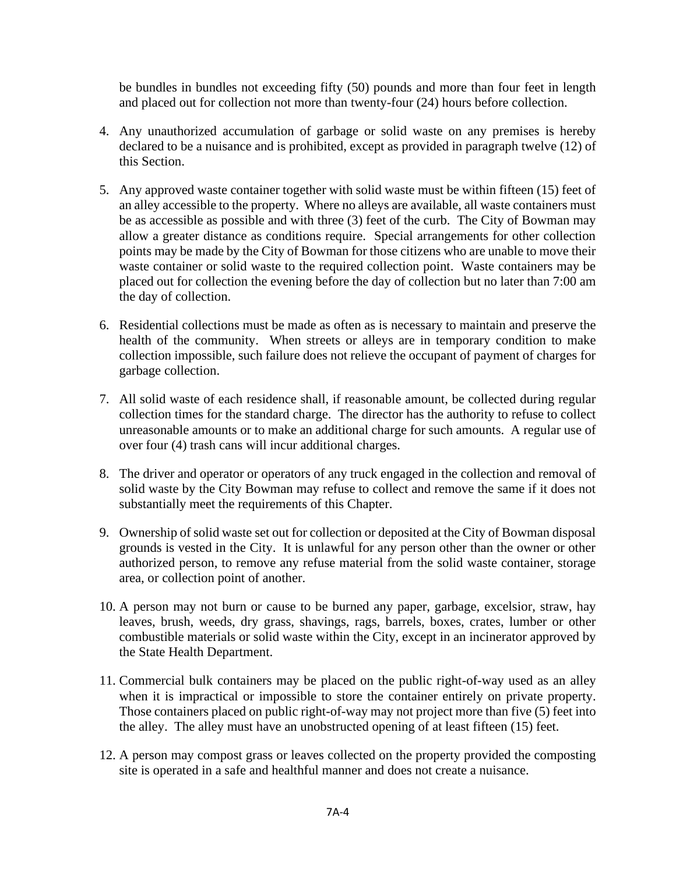be bundles in bundles not exceeding fifty (50) pounds and more than four feet in length and placed out for collection not more than twenty-four (24) hours before collection.

- 4. Any unauthorized accumulation of garbage or solid waste on any premises is hereby declared to be a nuisance and is prohibited, except as provided in paragraph twelve (12) of this Section.
- 5. Any approved waste container together with solid waste must be within fifteen (15) feet of an alley accessible to the property. Where no alleys are available, all waste containers must be as accessible as possible and with three (3) feet of the curb. The City of Bowman may allow a greater distance as conditions require. Special arrangements for other collection points may be made by the City of Bowman for those citizens who are unable to move their waste container or solid waste to the required collection point. Waste containers may be placed out for collection the evening before the day of collection but no later than 7:00 am the day of collection.
- 6. Residential collections must be made as often as is necessary to maintain and preserve the health of the community. When streets or alleys are in temporary condition to make collection impossible, such failure does not relieve the occupant of payment of charges for garbage collection.
- 7. All solid waste of each residence shall, if reasonable amount, be collected during regular collection times for the standard charge. The director has the authority to refuse to collect unreasonable amounts or to make an additional charge for such amounts. A regular use of over four (4) trash cans will incur additional charges.
- 8. The driver and operator or operators of any truck engaged in the collection and removal of solid waste by the City Bowman may refuse to collect and remove the same if it does not substantially meet the requirements of this Chapter.
- 9. Ownership of solid waste set out for collection or deposited at the City of Bowman disposal grounds is vested in the City. It is unlawful for any person other than the owner or other authorized person, to remove any refuse material from the solid waste container, storage area, or collection point of another.
- 10. A person may not burn or cause to be burned any paper, garbage, excelsior, straw, hay leaves, brush, weeds, dry grass, shavings, rags, barrels, boxes, crates, lumber or other combustible materials or solid waste within the City, except in an incinerator approved by the State Health Department.
- 11. Commercial bulk containers may be placed on the public right-of-way used as an alley when it is impractical or impossible to store the container entirely on private property. Those containers placed on public right-of-way may not project more than five (5) feet into the alley. The alley must have an unobstructed opening of at least fifteen (15) feet.
- 12. A person may compost grass or leaves collected on the property provided the composting site is operated in a safe and healthful manner and does not create a nuisance.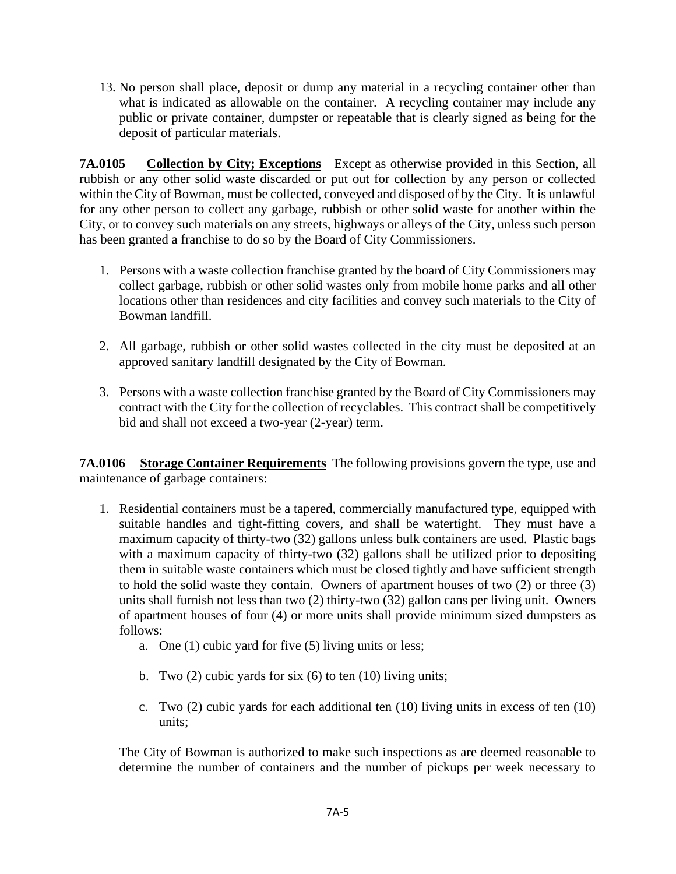13. No person shall place, deposit or dump any material in a recycling container other than what is indicated as allowable on the container. A recycling container may include any public or private container, dumpster or repeatable that is clearly signed as being for the deposit of particular materials.

**7A.0105 Collection by City; Exceptions** Except as otherwise provided in this Section, all rubbish or any other solid waste discarded or put out for collection by any person or collected within the City of Bowman, must be collected, conveyed and disposed of by the City. It is unlawful for any other person to collect any garbage, rubbish or other solid waste for another within the City, or to convey such materials on any streets, highways or alleys of the City, unless such person has been granted a franchise to do so by the Board of City Commissioners.

- 1. Persons with a waste collection franchise granted by the board of City Commissioners may collect garbage, rubbish or other solid wastes only from mobile home parks and all other locations other than residences and city facilities and convey such materials to the City of Bowman landfill.
- 2. All garbage, rubbish or other solid wastes collected in the city must be deposited at an approved sanitary landfill designated by the City of Bowman.
- 3. Persons with a waste collection franchise granted by the Board of City Commissioners may contract with the City for the collection of recyclables. This contract shall be competitively bid and shall not exceed a two-year (2-year) term.

**7A.0106 Storage Container Requirements** The following provisions govern the type, use and maintenance of garbage containers:

- 1. Residential containers must be a tapered, commercially manufactured type, equipped with suitable handles and tight-fitting covers, and shall be watertight. They must have a maximum capacity of thirty-two (32) gallons unless bulk containers are used. Plastic bags with a maximum capacity of thirty-two (32) gallons shall be utilized prior to depositing them in suitable waste containers which must be closed tightly and have sufficient strength to hold the solid waste they contain. Owners of apartment houses of two (2) or three (3) units shall furnish not less than two (2) thirty-two (32) gallon cans per living unit. Owners of apartment houses of four (4) or more units shall provide minimum sized dumpsters as follows:
	- a. One (1) cubic yard for five (5) living units or less;
	- b. Two (2) cubic yards for six (6) to ten (10) living units;
	- c. Two (2) cubic yards for each additional ten (10) living units in excess of ten (10) units;

The City of Bowman is authorized to make such inspections as are deemed reasonable to determine the number of containers and the number of pickups per week necessary to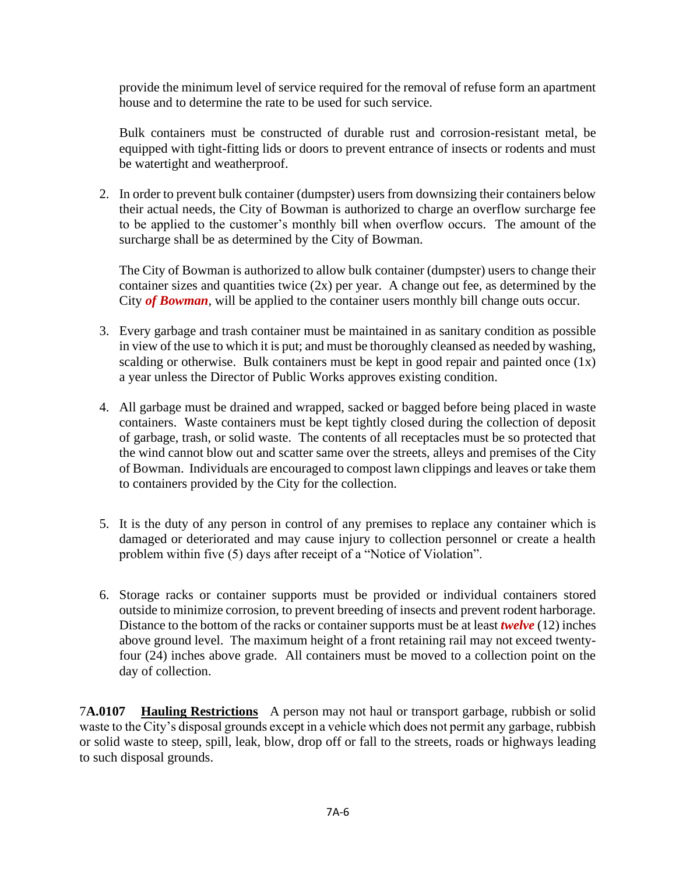provide the minimum level of service required for the removal of refuse form an apartment house and to determine the rate to be used for such service.

Bulk containers must be constructed of durable rust and corrosion-resistant metal, be equipped with tight-fitting lids or doors to prevent entrance of insects or rodents and must be watertight and weatherproof.

2. In order to prevent bulk container (dumpster) users from downsizing their containers below their actual needs, the City of Bowman is authorized to charge an overflow surcharge fee to be applied to the customer's monthly bill when overflow occurs. The amount of the surcharge shall be as determined by the City of Bowman.

The City of Bowman is authorized to allow bulk container (dumpster) users to change their container sizes and quantities twice  $(2x)$  per year. A change out fee, as determined by the City *of Bowman*, will be applied to the container users monthly bill change outs occur.

- 3. Every garbage and trash container must be maintained in as sanitary condition as possible in view of the use to which it is put; and must be thoroughly cleansed as needed by washing, scalding or otherwise. Bulk containers must be kept in good repair and painted once  $(1x)$ a year unless the Director of Public Works approves existing condition.
- 4. All garbage must be drained and wrapped, sacked or bagged before being placed in waste containers. Waste containers must be kept tightly closed during the collection of deposit of garbage, trash, or solid waste. The contents of all receptacles must be so protected that the wind cannot blow out and scatter same over the streets, alleys and premises of the City of Bowman. Individuals are encouraged to compost lawn clippings and leaves or take them to containers provided by the City for the collection.
- 5. It is the duty of any person in control of any premises to replace any container which is damaged or deteriorated and may cause injury to collection personnel or create a health problem within five (5) days after receipt of a "Notice of Violation".
- 6. Storage racks or container supports must be provided or individual containers stored outside to minimize corrosion, to prevent breeding of insects and prevent rodent harborage. Distance to the bottom of the racks or container supports must be at least *twelve* (12) inches above ground level. The maximum height of a front retaining rail may not exceed twentyfour (24) inches above grade. All containers must be moved to a collection point on the day of collection.

7**A.0107 Hauling Restrictions** A person may not haul or transport garbage, rubbish or solid waste to the City's disposal grounds except in a vehicle which does not permit any garbage, rubbish or solid waste to steep, spill, leak, blow, drop off or fall to the streets, roads or highways leading to such disposal grounds.